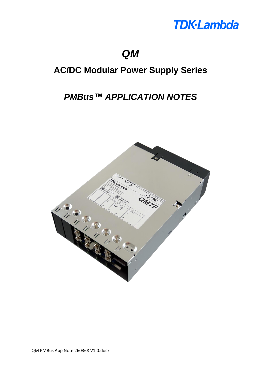

## *QM*

## **AC/DC Modular Power Supply Series**

## *PMBus™ APPLICATION NOTES*

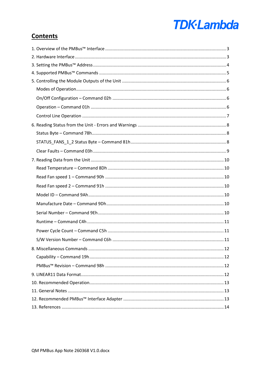# **TDK-Lambda**

## **Contents**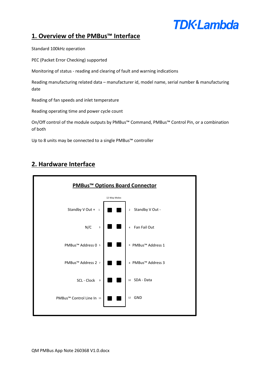## **TDK**·Lambda

## <span id="page-2-0"></span>**1. Overview of the PMBus™ Interface**

Standard 100kHz operation

PEC (Packet Error Checking) supported

Monitoring of status - reading and clearing of fault and warning indications

Reading manufacturing related data – manufacturer id, model name, serial number & manufacturing date

Reading of fan speeds and inlet temperature

Reading operating time and power cycle count

On/Off control of the module outputs by PMBus™ Command, PMBus™ Control Pin, or a combination of both

Up to 8 units may be connected to a single PMBus™ controller

## <span id="page-2-1"></span>**2. Hardware Interface**

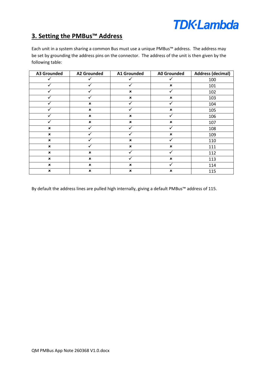## **TDK-Lambda**

## <span id="page-3-0"></span>**3. Setting the PMBus™ Address**

Each unit in a system sharing a common Bus must use a unique PMBus™ address. The address may be set by grounding the address pins on the connector. The address of the unit is then given by the following table:

| <b>A3 Grounded</b>        | <b>A2 Grounded</b> | <b>A1 Grounded</b>        | <b>A0 Grounded</b>        | <b>Address (decimal)</b> |
|---------------------------|--------------------|---------------------------|---------------------------|--------------------------|
|                           |                    |                           |                           | 100                      |
|                           |                    |                           | $\boldsymbol{\mathsf{x}}$ | 101                      |
|                           |                    | $\pmb{\times}$            |                           | 102                      |
|                           |                    | $\pmb{\times}$            | $\pmb{\times}$            | 103                      |
|                           | $\pmb{\times}$     |                           |                           | 104                      |
|                           | $\pmb{\times}$     |                           | $\pmb{\times}$            | 105                      |
|                           | $\pmb{\times}$     | $\boldsymbol{\mathsf{x}}$ |                           | 106                      |
|                           | $\pmb{\times}$     | $\pmb{\times}$            | $\pmb{\times}$            | 107                      |
| $\pmb{\times}$            |                    |                           |                           | 108                      |
| $\boldsymbol{\mathsf{x}}$ |                    |                           | $\boldsymbol{\mathsf{x}}$ | 109                      |
| $\boldsymbol{\mathsf{x}}$ |                    | $\boldsymbol{\mathsf{x}}$ |                           | 110                      |
| $\pmb{\times}$            |                    | $\pmb{\times}$            | $\boldsymbol{\mathsf{x}}$ | 111                      |
| $\pmb{\times}$            | $\pmb{\times}$     |                           |                           | 112                      |
| $\pmb{\times}$            | $\pmb{\times}$     |                           | $\pmb{\times}$            | 113                      |
| $\boldsymbol{\mathsf{x}}$ | $\pmb{\times}$     | $\pmb{\times}$            |                           | 114                      |
| $\pmb{\times}$            | $\pmb{\times}$     | $\pmb{\times}$            | $\pmb{\times}$            | 115                      |

By default the address lines are pulled high internally, giving a default PMBus™ address of 115.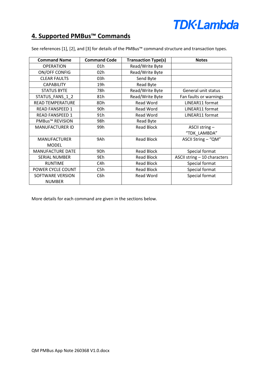

## <span id="page-4-0"></span>**4. Supported PMBus™ Commands**

| <b>Command Name</b>     | <b>Command Code</b> | <b>Transaction Type(s)</b> | <b>Notes</b>                 |
|-------------------------|---------------------|----------------------------|------------------------------|
| <b>OPERATION</b>        | 01h                 | Read/Write Byte            |                              |
| ON/OFF CONFIG           | 02h                 | Read/Write Byte            |                              |
| <b>CLEAR FAULTS</b>     | 03h                 | Send Byte                  |                              |
| <b>CAPABILITY</b>       | 19h                 | Read Byte                  |                              |
| <b>STATUS BYTE</b>      | 78h                 | Read/Write Byte            | General unit status          |
| STATUS_FANS_1_2         | 81h                 | Read/Write Byte            | Fan faults or warnings       |
| <b>READ TEMPERATURE</b> | 8Dh                 | <b>Read Word</b>           | LINEAR11 format              |
| <b>READ FANSPEED 1</b>  | 90h                 | <b>Read Word</b>           | LINEAR11 format              |
| <b>READ FANSPEED 1</b>  | 91h                 | <b>Read Word</b>           | LINEAR11 format              |
| <b>PMBus™ REVISION</b>  | 98h                 | Read Byte                  |                              |
| <b>MANUFACTURER ID</b>  | 99h                 | <b>Read Block</b>          | ASCII string-                |
|                         |                     |                            | "TDK LAMBDA"                 |
| <b>MANUFACTURER</b>     | 9Ah                 | <b>Read Block</b>          | ASCII String - "QM"          |
| <b>MODEL</b>            |                     |                            |                              |
| MANUFACTURE DATE        | 9Dh                 | <b>Read Block</b>          | Special format               |
| <b>SERIAL NUMBER</b>    | 9Eh                 | <b>Read Block</b>          | ASCII string - 10 characters |
| <b>RUNTIME</b>          | C4h                 | <b>Read Block</b>          | Special format               |
| POWER CYCLE COUNT       | C5h                 | <b>Read Block</b>          | Special format               |
| SOFTWARE VERSION        | C6h                 | <b>Read Word</b>           | Special format               |
| <b>NUMBER</b>           |                     |                            |                              |

See references [1], [2], and [3] for details of the PMBus™ command structure and transaction types.

More details for each command are given in the sections below.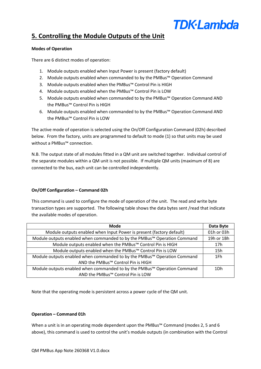## **TDK**·Lambda

## <span id="page-5-0"></span>**5. Controlling the Module Outputs of the Unit**

### <span id="page-5-1"></span>**Modes of Operation**

There are 6 distinct modes of operation:

- 1. Module outputs enabled when Input Power is present (factory default)
- 2. Module outputs enabled when commanded to by the PMBus™ Operation Command
- 3. Module outputs enabled when the PMBus™ Control Pin is HIGH
- 4. Module outputs enabled when the PMBus™ Control Pin is LOW
- 5. Module outputs enabled when commanded to by the PMBus™ Operation Command AND the PMBus™ Control Pin is HIGH
- 6. Module outputs enabled when commanded to by the PMBus™ Operation Command AND the PMBus™ Control Pin is LOW

The active mode of operation is selected using the On/Off Configuration Command (02h) described below. From the factory, units are programmed to default to mode (1) so that units may be used without a PMBus™ connection.

N.B. The output state of all modules fitted in a QM unit are switched together. Individual control of the separate modules within a QM unit is not possible. If multiple QM units (maximum of 8) are connected to the bus, each unit can be controlled independently.

### <span id="page-5-2"></span>**On/Off Configuration – Command 02h**

This command is used to configure the mode of operation of the unit. The read and write byte transaction types are supported. The following table shows the data bytes sent /read that indicate the available modes of operation.

| <b>Mode</b>                                                              | Data Byte       |
|--------------------------------------------------------------------------|-----------------|
| Module outputs enabled when Input Power is present (factory default)     | 01h or 03h      |
| Module outputs enabled when commanded to by the PMBus™ Operation Command | 19h or 1Bh      |
| Module outputs enabled when the PMBus™ Control Pin is HIGH               | 17 <sub>h</sub> |
| Module outputs enabled when the PMBus™ Control Pin is LOW                | 15h             |
| Module outputs enabled when commanded to by the PMBus™ Operation Command | 1Fh             |
| AND the PMBus™ Control Pin is HIGH                                       |                 |
| Module outputs enabled when commanded to by the PMBus™ Operation Command | 1Dh             |
| AND the PMBus™ Control Pin is LOW                                        |                 |

Note that the operating mode is persistent across a power cycle of the QM unit.

### <span id="page-5-3"></span>**Operation – Command 01h**

When a unit is in an operating mode dependent upon the PMBus™ Command (modes 2, 5 and 6 above), this command is used to control the unit's module outputs (in combination with the Control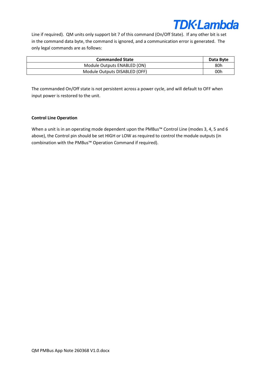

Line if required). QM units only support bit 7 of this command (On/Off State). If any other bit is set in the command data byte, the command is ignored, and a communication error is generated. The only legal commands are as follows:

| <b>Commanded State</b>        | Data Byte |
|-------------------------------|-----------|
| Module Outputs ENABLED (ON)   | 80h       |
| Module Outputs DISABLED (OFF) | 00h       |

The commanded On/Off state is not persistent across a power cycle, and will default to OFF when input power is restored to the unit.

#### <span id="page-6-0"></span>**Control Line Operation**

When a unit is in an operating mode dependent upon the PMBus™ Control Line (modes 3, 4, 5 and 6 above), the Control pin should be set HIGH or LOW as required to control the module outputs (in combination with the PMBus™ Operation Command if required).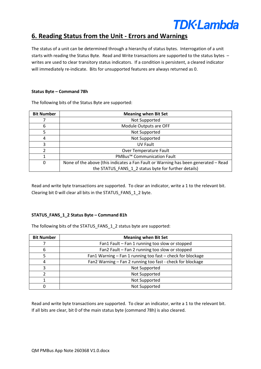

## <span id="page-7-0"></span>**6. Reading Status from the Unit - Errors and Warnings**

The status of a unit can be determined through a hierarchy of status bytes. Interrogation of a unit starts with reading the Status Byte. Read and Write transactions are supported to the status bytes – writes are used to clear transitory status indicators. If a condition is persistent, a cleared indicator will immediately re-indicate. Bits for unsupported features are always returned as 0.

### <span id="page-7-1"></span>**Status Byte – Command 78h**

The following bits of the Status Byte are supported:

| <b>Bit Number</b> | <b>Meaning when Bit Set</b>                                                        |
|-------------------|------------------------------------------------------------------------------------|
|                   | Not Supported                                                                      |
| 6                 | Module Outputs are OFF                                                             |
|                   | Not Supported                                                                      |
| 4                 | Not Supported                                                                      |
| ς                 | <b>UV Fault</b>                                                                    |
|                   | Over Temperature Fault                                                             |
|                   | PMBus <sup>™</sup> Communication Fault                                             |
| 0                 | None of the above (this indicates a Fan Fault or Warning has been generated - Read |
|                   | the STATUS FANS 1 2 status byte for further details)                               |

Read and write byte transactions are supported. To clear an indicator, write a 1 to the relevant bit. Clearing bit 0 will clear all bits in the STATUS\_FANS\_1\_2 byte.

### <span id="page-7-2"></span>**STATUS\_FANS\_1\_2 Status Byte – Command 81h**

The following bits of the STATUS FANS 1 2 status byte are supported:

| <b>Bit Number</b> | <b>Meaning when Bit Set</b>                                |
|-------------------|------------------------------------------------------------|
|                   | Fan1 Fault - Fan 1 running too slow or stopped             |
| 6                 | Fan2 Fault - Fan 2 running too slow or stopped             |
|                   | Fan1 Warning - Fan 1 running too fast - check for blockage |
| 4                 | Fan2 Warning - Fan 2 running too fast - check for blockage |
|                   | Not Supported                                              |
|                   | Not Supported                                              |
|                   | Not Supported                                              |
|                   | Not Supported                                              |

Read and write byte transactions are supported. To clear an indicator, write a 1 to the relevant bit. If all bits are clear, bit 0 of the main status byte (command 78h) is also cleared.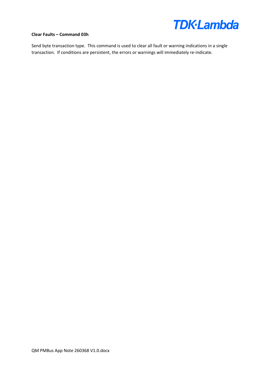

#### <span id="page-8-0"></span>**Clear Faults – Command 03h**

Send byte transaction type. This command is used to clear all fault or warning indications in a single transaction. If conditions are persistent, the errors or warnings will immediately re-indicate.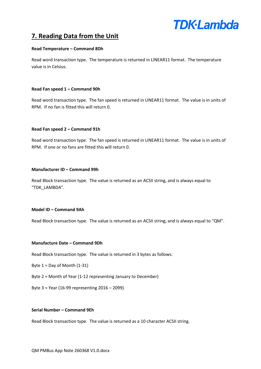

## <span id="page-9-0"></span>**7. Reading Data from the Unit**

#### <span id="page-9-1"></span>**Read Temperature – Command 8Dh**

Read word transaction type. The temperature is returned in LINEAR11 format. The temperature value is in Celsius.

#### <span id="page-9-2"></span>**Read Fan speed 1 – Command 90h**

Read word transaction type. The fan speed is returned in LINEAR11 format. The value is in units of RPM. If no fan is fitted this will return 0.

#### <span id="page-9-3"></span>**Read Fan speed 2 – Command 91h**

Read word transaction type. The fan speed is returned in LINEAR11 format. The value is in units of RPM. If one or no fans are fitted this will return 0.

#### **Manufacturer ID – Command 99h**

Read Block transaction type. The value is returned as an ACSII string, and is always equal to "TDK\_LAMBDA".

#### <span id="page-9-4"></span>**Model ID – Command 9Ah**

Read Block transaction type. The value is returned as an ACSII string, and is always equal to "QM".

#### <span id="page-9-5"></span>**Manufacture Date – Command 9Dh**

Read Block transaction type. The value is returned in 3 bytes as follows:

Byte  $1 = Day$  of Month  $(1-31)$ 

- Byte 2 = Month of Year (1-12 representing January to December)
- Byte 3 = Year (16-99 representing 2016 2099)

#### <span id="page-9-6"></span>**Serial Number – Command 9Eh**

Read Block transaction type. The value is returned as a 10 character ACSII string.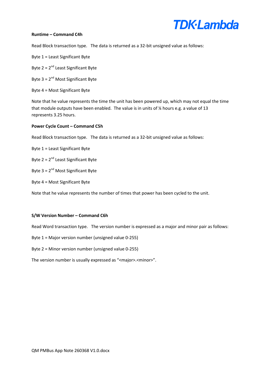

#### <span id="page-10-0"></span>**Runtime – Command C4h**

Read Block transaction type. The data is returned as a 32-bit unsigned value as follows:

Byte 1 = Least Significant Byte

Byte  $2 = 2^{nd}$  Least Significant Byte

Byte  $3 = 2^{nd}$  Most Significant Byte

Byte 4 = Most Significant Byte

Note that he value represents the time the unit has been powered up, which may not equal the time that module outputs have been enabled. The value is in units of % hours e.g. a value of 13 represents 3.25 hours.

#### <span id="page-10-1"></span>**Power Cycle Count – Command C5h**

Read Block transaction type. The data is returned as a 32-bit unsigned value as follows:

Byte 1 = Least Significant Byte

Byte  $2 = 2^{nd}$  Least Significant Byte

Byte  $3 = 2^{nd}$  Most Significant Byte

Byte 4 = Most Significant Byte

Note that he value represents the number of times that power has been cycled to the unit.

#### <span id="page-10-2"></span>**S/W Version Number – Command C6h**

Read Word transaction type. The version number is expressed as a major and minor pair as follows:

Byte 1 = Major version number (unsigned value 0-255)

Byte 2 = Minor version number (unsigned value 0-255)

The version number is usually expressed as "<major>.<minor>".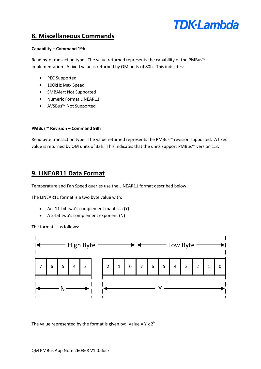

## <span id="page-11-0"></span>**8. Miscellaneous Commands**

### <span id="page-11-1"></span>**Capability – Command 19h**

Read byte transaction type. The value returned represents the capability of the PMBus™ implementation. A fixed value is returned by QM units of 80h. This indicates:

- PEC Supported
- 100kHz Max Speed
- SMBAlert Not Supported
- Numeric Format LINEAR11
- AVSBus™ Not Supported

#### <span id="page-11-2"></span>**PMBus™ Revision – Command 98h**

Read byte transaction type. The value returned represents the PMBus™ revision supported. A fixed value is returned by QM units of 33h. This indicates that the units support PMBus<sup>™</sup> version 1.3.

### <span id="page-11-3"></span>**9. LINEAR11 Data Format**

Temperature and Fan Speed queries use the LINEAR11 format described below:

The LINEAR11 format is a two byte value with:

- An 11-bit two's complement mantissa (Y)
- A 5-bit two's complement exponent (N)

The format is as follows:



The value represented by the format is given by: Value =  $Y \times 2^N$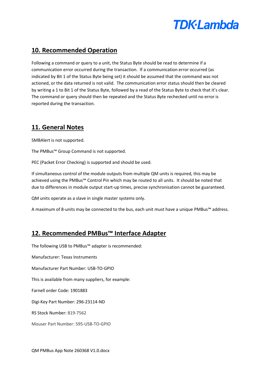

## <span id="page-12-0"></span>**10. Recommended Operation**

Following a command or query to a unit, the Status Byte should be read to determine if a communication error occurred during the transaction. If a communication error occurred (as indicated by Bit 1 of the Status Byte being set) it should be assumed that the command was not actioned, or the data returned is not valid. The communication error status should then be cleared by writing a 1 to Bit 1 of the Status Byte, followed by a read of the Status Byte to check that it's clear. The command or query should then be repeated and the Status Byte rechecked until no error is reported during the transaction.

## <span id="page-12-1"></span>**11. General Notes**

SMBAlert is not supported.

The PMBus™ Group Command is not supported.

PEC (Packet Error Checking) is supported and should be used.

If simultaneous control of the module outputs from multiple QM units is required, this may be achieved using the PMBus™ Control Pin which may be routed to all units. It should be noted that due to differences in module output start-up times, precise synchronisation cannot be guaranteed.

QM units operate as a slave in single master systems only.

A maximum of 8-units may be connected to the bus, each unit must have a unique PMBus™ address.

## <span id="page-12-2"></span>**12. Recommended PMBus™ Interface Adapter**

The following USB to PMBus™ adapter is recommended:

Manufacturer: Texas Instruments

Manufacturer Part Number: USB-TO-GPIO

This is available from many suppliers, for example:

Farnell order Code: 1901883

Digi-Key Part Number: 296-23114-ND

RS Stock Number: 819-7562

Mouser Part Number: 595-USB-TO-GPIO